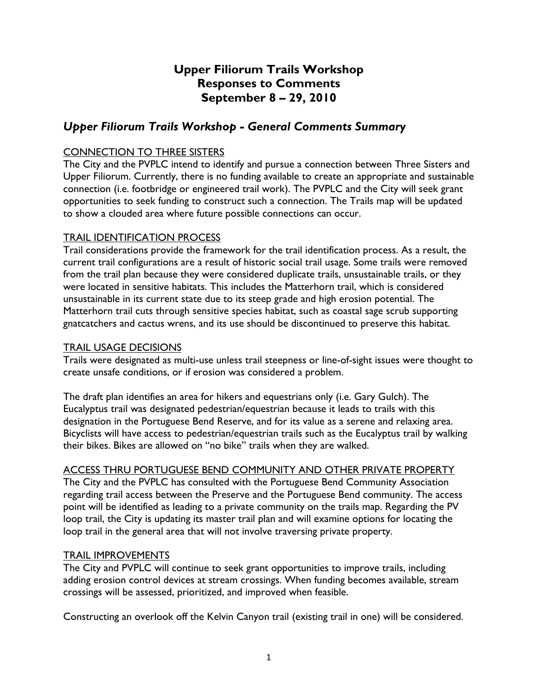# **Upper Filiorum Trails Workshop Responses to Comments September 8 – 29, 2010**

## *Upper Filiorum Trails Workshop - General Comments Summary*

### CONNECTION TO THREE SISTERS

The City and the PVPLC intend to identify and pursue a connection between Three Sisters and Upper Filiorum. Currently, there is no funding available to create an appropriate and sustainable connection (i.e. footbridge or engineered trail work). The PVPLC and the City will seek grant opportunities to seek funding to construct such a connection. The Trails map will be updated to show a clouded area where future possible connections can occur.

### TRAIL IDENTIFICATION PROCESS

Trail considerations provide the framework for the trail identification process. As a result, the current trail configurations are a result of historic social trail usage. Some trails were removed from the trail plan because they were considered duplicate trails, unsustainable trails, or they were located in sensitive habitats. This includes the Matterhorn trail, which is considered unsustainable in its current state due to its steep grade and high erosion potential. The Matterhorn trail cuts through sensitive species habitat, such as coastal sage scrub supporting gnatcatchers and cactus wrens, and its use should be discontinued to preserve this habitat.

### TRAIL USAGE DECISIONS

Trails were designated as multi-use unless trail steepness or line-of-sight issues were thought to create unsafe conditions, or if erosion was considered a problem.

The draft plan identifies an area for hikers and equestrians only (i.e. Gary Gulch). The Eucalyptus trail was designated pedestrian/equestrian because it leads to trails with this designation in the Portuguese Bend Reserve, and for its value as a serene and relaxing area. Bicyclists will have access to pedestrian/equestrian trails such as the Eucalyptus trail by walking their bikes. Bikes are allowed on "no bike" trails when they are walked.

### ACCESS THRU PORTUGUESE BEND COMMUNITY AND OTHER PRIVATE PROPERTY

The City and the PVPLC has consulted with the Portuguese Bend Community Association regarding trail access between the Preserve and the Portuguese Bend community. The access point will be identified as leading to a private community on the trails map. Regarding the PV loop trail, the City is updating its master trail plan and will examine options for locating the loop trail in the general area that will not involve traversing private property.

### TRAIL IMPROVEMENTS

The City and PVPLC will continue to seek grant opportunities to improve trails, including adding erosion control devices at stream crossings. When funding becomes available, stream crossings will be assessed, prioritized, and improved when feasible.

Constructing an overlook off the Kelvin Canyon trail (existing trail in one) will be considered.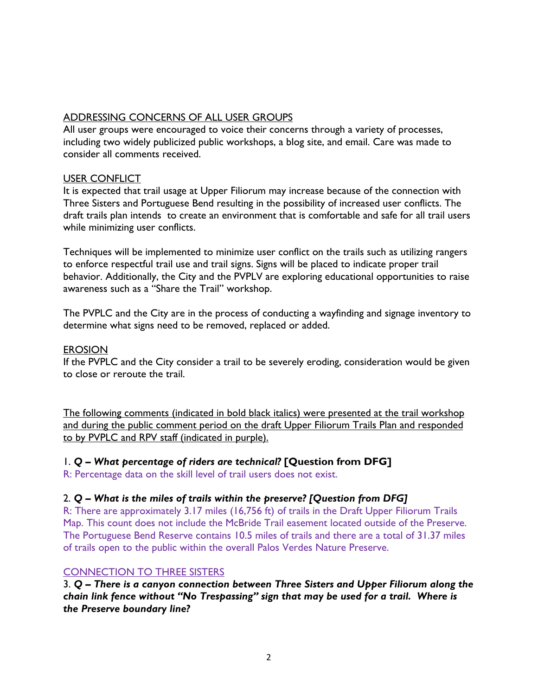## ADDRESSING CONCERNS OF ALL USER GROUPS

All user groups were encouraged to voice their concerns through a variety of processes, including two widely publicized public workshops, a blog site, and email. Care was made to consider all comments received.

### USER CONFLICT

It is expected that trail usage at Upper Filiorum may increase because of the connection with Three Sisters and Portuguese Bend resulting in the possibility of increased user conflicts. The draft trails plan intends to create an environment that is comfortable and safe for all trail users while minimizing user conflicts.

Techniques will be implemented to minimize user conflict on the trails such as utilizing rangers to enforce respectful trail use and trail signs. Signs will be placed to indicate proper trail behavior. Additionally, the City and the PVPLV are exploring educational opportunities to raise awareness such as a "Share the Trail" workshop.

The PVPLC and the City are in the process of conducting a wayfinding and signage inventory to determine what signs need to be removed, replaced or added.

#### **EROSION**

If the PVPLC and the City consider a trail to be severely eroding, consideration would be given to close or reroute the trail.

The following comments (indicated in bold black italics) were presented at the trail workshop and during the public comment period on the draft Upper Filiorum Trails Plan and responded to by PVPLC and RPV staff (indicated in purple).

### 1. *Q – What percentage of riders are technical?* **[Question from DFG]**

R: Percentage data on the skill level of trail users does not exist.

## 2. *Q – What is the miles of trails within the preserve? [Question from DFG]*

R: There are approximately 3.17 miles (16,756 ft) of trails in the Draft Upper Filiorum Trails Map. This count does not include the McBride Trail easement located outside of the Preserve. The Portuguese Bend Reserve contains 10.5 miles of trails and there are a total of 31.37 miles of trails open to the public within the overall Palos Verdes Nature Preserve.

### CONNECTION TO THREE SISTERS

3. *Q – There is a canyon connection between Three Sisters and Upper Filiorum along the chain link fence without "No Trespassing" sign that may be used for a trail. Where is the Preserve boundary line?*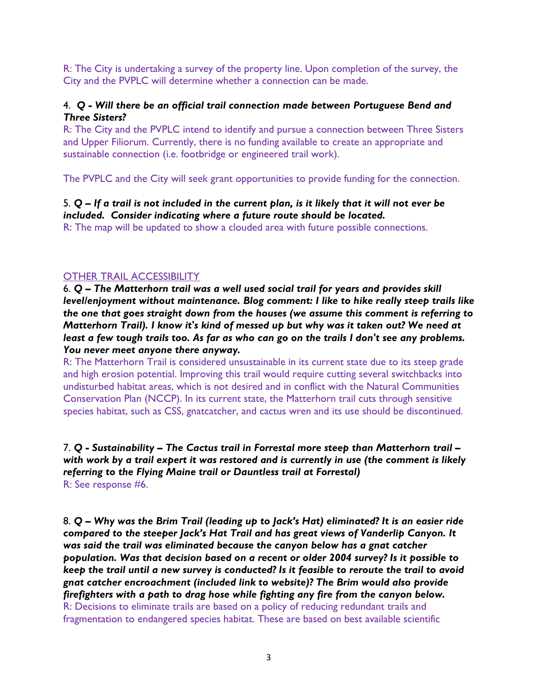R: The City is undertaking a survey of the property line. Upon completion of the survey, the City and the PVPLC will determine whether a connection can be made.

### 4. *Q - Will there be an official trail connection made between Portuguese Bend and Three Sisters?*

R: The City and the PVPLC intend to identify and pursue a connection between Three Sisters and Upper Filiorum. Currently, there is no funding available to create an appropriate and sustainable connection (i.e. footbridge or engineered trail work).

The PVPLC and the City will seek grant opportunities to provide funding for the connection.

### 5. *Q – If a trail is not included in the current plan, is it likely that it will not ever be included. Consider indicating where a future route should be located.*

R: The map will be updated to show a clouded area with future possible connections.

### OTHER TRAIL ACCESSIBILITY

6. *Q – The Matterhorn trail was a well used social trail for years and provides skill level/enjoyment without maintenance. Blog comment: I like to hike really steep trails like the one that goes straight down from the houses (we assume this comment is referring to Matterhorn Trail). I know it's kind of messed up but why was it taken out? We need at least a few tough trails too. As far as who can go on the trails I don't see any problems. You never meet anyone there anyway.*

R: The Matterhorn Trail is considered unsustainable in its current state due to its steep grade and high erosion potential. Improving this trail would require cutting several switchbacks into undisturbed habitat areas, which is not desired and in conflict with the Natural Communities Conservation Plan (NCCP). In its current state, the Matterhorn trail cuts through sensitive species habitat, such as CSS, gnatcatcher, and cactus wren and its use should be discontinued.

7. *Q - Sustainability – The Cactus trail in Forrestal more steep than Matterhorn trail – with work by a trail expert it was restored and is currently in use (the comment is likely referring to the Flying Maine trail or Dauntless trail at Forrestal)*  R: See response #6.

8. *Q – Why was the Brim Trail (leading up to Jack's Hat) eliminated? It is an easier ride compared to the steeper Jack's Hat Trail and has great views of Vanderlip Canyon. It was said the trail was eliminated because the canyon below has a gnat catcher population. Was that decision based on a recent or older 2004 survey? Is it possible to keep the trail until a new survey is conducted? Is it feasible to reroute the trail to avoid gnat catcher encroachment (included link to website)? The Brim would also provide firefighters with a path to drag hose while fighting any fire from the canyon below.*  R: Decisions to eliminate trails are based on a policy of reducing redundant trails and fragmentation to endangered species habitat. These are based on best available scientific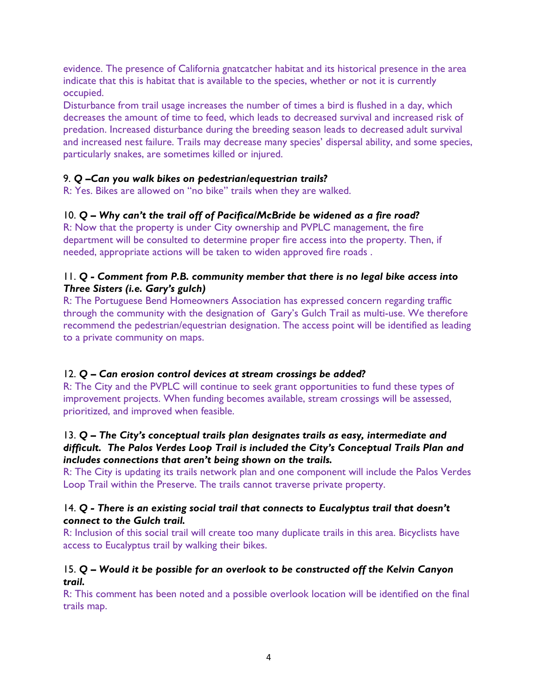evidence. The presence of California gnatcatcher habitat and its historical presence in the area indicate that this is habitat that is available to the species, whether or not it is currently occupied.

Disturbance from trail usage increases the number of times a bird is flushed in a day, which decreases the amount of time to feed, which leads to decreased survival and increased risk of predation. Increased disturbance during the breeding season leads to decreased adult survival and increased nest failure. Trails may decrease many species' dispersal ability, and some species, particularly snakes, are sometimes killed or injured.

## 9. *Q –Can you walk bikes on pedestrian/equestrian trails?*

R: Yes. Bikes are allowed on "no bike" trails when they are walked.

## 10. *Q – Why can't the trail off of Pacifica/McBride be widened as a fire road?*

R: Now that the property is under City ownership and PVPLC management, the fire department will be consulted to determine proper fire access into the property. Then, if needed, appropriate actions will be taken to widen approved fire roads .

### 11. *Q - Comment from P.B. community member that there is no legal bike access into Three Sisters (i.e. Gary's gulch)*

R: The Portuguese Bend Homeowners Association has expressed concern regarding traffic through the community with the designation of Gary's Gulch Trail as multi-use. We therefore recommend the pedestrian/equestrian designation. The access point will be identified as leading to a private community on maps.

## 12. *Q – Can erosion control devices at stream crossings be added?*

R: The City and the PVPLC will continue to seek grant opportunities to fund these types of improvement projects. When funding becomes available, stream crossings will be assessed, prioritized, and improved when feasible.

## 13. *Q – The City's conceptual trails plan designates trails as easy, intermediate and difficult. The Palos Verdes Loop Trail is included the City's Conceptual Trails Plan and includes connections that aren't being shown on the trails.*

R: The City is updating its trails network plan and one component will include the Palos Verdes Loop Trail within the Preserve. The trails cannot traverse private property.

## 14. *Q - There is an existing social trail that connects to Eucalyptus trail that doesn't connect to the Gulch trail.*

R: Inclusion of this social trail will create too many duplicate trails in this area. Bicyclists have access to Eucalyptus trail by walking their bikes.

## 15. *Q – Would it be possible for an overlook to be constructed off the Kelvin Canyon trail.*

R: This comment has been noted and a possible overlook location will be identified on the final trails map.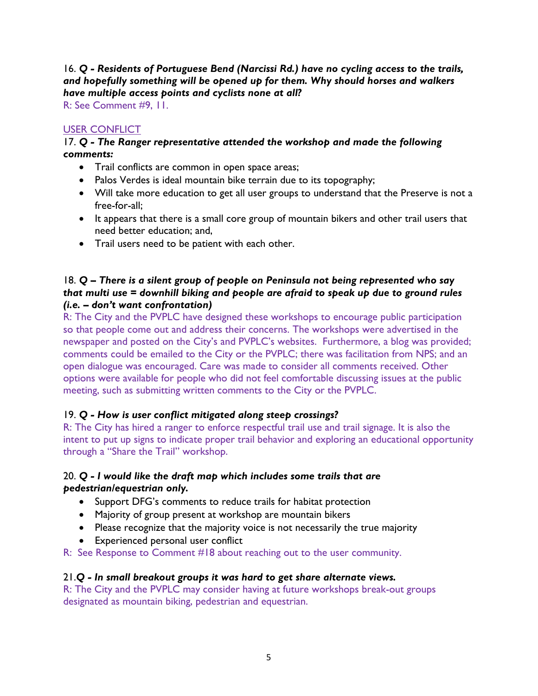## 16. *Q - Residents of Portuguese Bend (Narcissi Rd.) have no cycling access to the trails, and hopefully something will be opened up for them. Why should horses and walkers have multiple access points and cyclists none at all?*

R: See Comment #9, 11.

## USER CONFLICT

### 17. *Q - The Ranger representative attended the workshop and made the following comments:*

- Trail conflicts are common in open space areas;
- Palos Verdes is ideal mountain bike terrain due to its topography;
- Will take more education to get all user groups to understand that the Preserve is not a free-for-all;
- It appears that there is a small core group of mountain bikers and other trail users that need better education; and,
- Trail users need to be patient with each other.

### 18. *Q – There is a silent group of people on Peninsula not being represented who say that multi use = downhill biking and people are afraid to speak up due to ground rules (i.e. – don't want confrontation)*

R: The City and the PVPLC have designed these workshops to encourage public participation so that people come out and address their concerns. The workshops were advertised in the newspaper and posted on the City's and PVPLC's websites. Furthermore, a blog was provided; comments could be emailed to the City or the PVPLC; there was facilitation from NPS; and an open dialogue was encouraged. Care was made to consider all comments received. Other options were available for people who did not feel comfortable discussing issues at the public meeting, such as submitting written comments to the City or the PVPLC.

## 19. *Q - How is user conflict mitigated along steep crossings?*

R: The City has hired a ranger to enforce respectful trail use and trail signage. It is also the intent to put up signs to indicate proper trail behavior and exploring an educational opportunity through a "Share the Trail" workshop.

### 20. *Q - I would like the draft map which includes some trails that are pedestrian/equestrian only.*

- Support DFG's comments to reduce trails for habitat protection
- Majority of group present at workshop are mountain bikers
- Please recognize that the majority voice is not necessarily the true majority
- Experienced personal user conflict
- R: See Response to Comment #18 about reaching out to the user community.

### 21.*Q - In small breakout groups it was hard to get share alternate views.*

R: The City and the PVPLC may consider having at future workshops break-out groups designated as mountain biking, pedestrian and equestrian.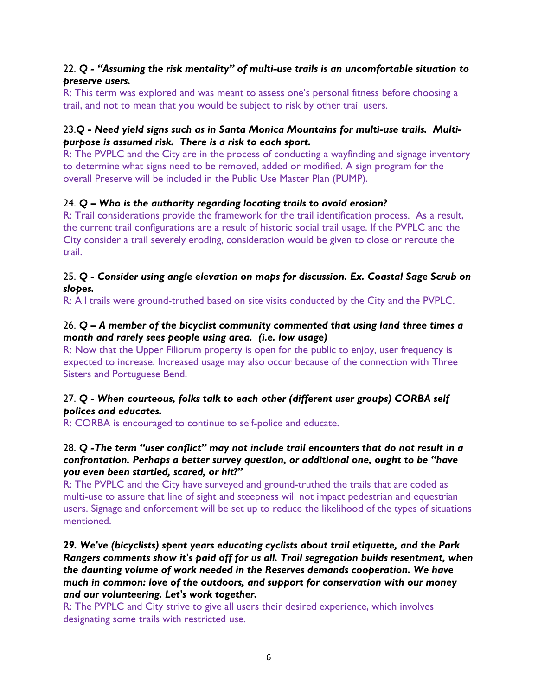### 22. *Q - "Assuming the risk mentality" of multi-use trails is an uncomfortable situation to preserve users.*

R: This term was explored and was meant to assess one's personal fitness before choosing a trail, and not to mean that you would be subject to risk by other trail users.

### 23.*Q - Need yield signs such as in Santa Monica Mountains for multi-use trails. Multipurpose is assumed risk. There is a risk to each sport.*

R: The PVPLC and the City are in the process of conducting a wayfinding and signage inventory to determine what signs need to be removed, added or modified. A sign program for the overall Preserve will be included in the Public Use Master Plan (PUMP).

## 24. *Q – Who is the authority regarding locating trails to avoid erosion?*

R: Trail considerations provide the framework for the trail identification process. As a result, the current trail configurations are a result of historic social trail usage. If the PVPLC and the City consider a trail severely eroding, consideration would be given to close or reroute the trail.

### 25. *Q - Consider using angle elevation on maps for discussion. Ex. Coastal Sage Scrub on slopes.*

R: All trails were ground-truthed based on site visits conducted by the City and the PVPLC.

### 26. *Q – A member of the bicyclist community commented that using land three times a month and rarely sees people using area. (i.e. low usage)*

R: Now that the Upper Filiorum property is open for the public to enjoy, user frequency is expected to increase. Increased usage may also occur because of the connection with Three Sisters and Portuguese Bend.

## 27. *Q - When courteous, folks talk to each other (different user groups) CORBA self polices and educates.*

R: CORBA is encouraged to continue to self-police and educate.

## 28. *Q -The term "user conflict" may not include trail encounters that do not result in a confrontation. Perhaps a better survey question, or additional one, ought to be "have you even been startled, scared, or hit?"*

R: The PVPLC and the City have surveyed and ground-truthed the trails that are coded as multi-use to assure that line of sight and steepness will not impact pedestrian and equestrian users. Signage and enforcement will be set up to reduce the likelihood of the types of situations mentioned.

*29. We've (bicyclists) spent years educating cyclists about trail etiquette, and the Park Rangers comments show it's paid off for us all. Trail segregation builds resentment, when the daunting volume of work needed in the Reserves demands cooperation. We have much in common: love of the outdoors, and support for conservation with our money and our volunteering. Let's work together.* 

R: The PVPLC and City strive to give all users their desired experience, which involves designating some trails with restricted use.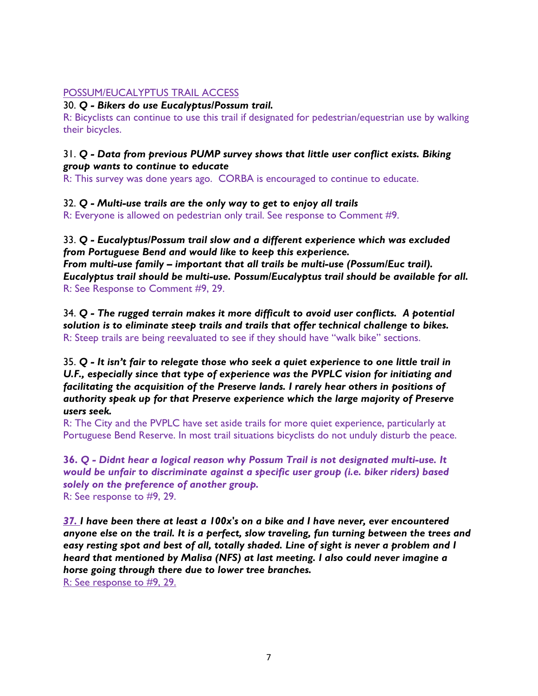### POSSUM/EUCALYPTUS TRAIL ACCESS

### 30. *Q - Bikers do use Eucalyptus/Possum trail.*

R: Bicyclists can continue to use this trail if designated for pedestrian/equestrian use by walking their bicycles.

## 31. *Q - Data from previous PUMP survey shows that little user conflict exists. Biking group wants to continue to educate*

R: This survey was done years ago. CORBA is encouraged to continue to educate.

32. *Q - Multi-use trails are the only way to get to enjoy all trails*

R: Everyone is allowed on pedestrian only trail. See response to Comment #9.

33. *Q - Eucalyptus/Possum trail slow and a different experience which was excluded from Portuguese Bend and would like to keep this experience. From multi-use family – important that all trails be multi-use (Possum/Euc trail). Eucalyptus trail should be multi-use. Possum/Eucalyptus trail should be available for all.*  R: See Response to Comment #9, 29.

34. *Q - The rugged terrain makes it more difficult to avoid user conflicts. A potential solution is to eliminate steep trails and trails that offer technical challenge to bikes.*  R: Steep trails are being reevaluated to see if they should have "walk bike" sections.

35. *Q - It isn't fair to relegate those who seek a quiet experience to one little trail in U.F., especially since that type of experience was the PVPLC vision for initiating and facilitating the acquisition of the Preserve lands. I rarely hear others in positions of authority speak up for that Preserve experience which the large majority of Preserve users seek.* 

R: The City and the PVPLC have set aside trails for more quiet experience, particularly at Portuguese Bend Reserve. In most trail situations bicyclists do not unduly disturb the peace.

**36.** *Q - Didnt hear a logical reason why Possum Trail is not designated multi-use. It would be unfair to discriminate against a specific user group (i.e. biker riders) based solely on the preference of another group.*  R: See response to #9, 29.

*37. I have been there at least a 100x's on a bike and I have never, ever encountered anyone else on the trail. It is a perfect, slow traveling, fun turning between the trees and easy resting spot and best of all, totally shaded. Line of sight is never a problem and I heard that mentioned by Malisa (NFS) at last meeting. I also could never imagine a horse going through there due to lower tree branches.*  R: See response to #9, 29.